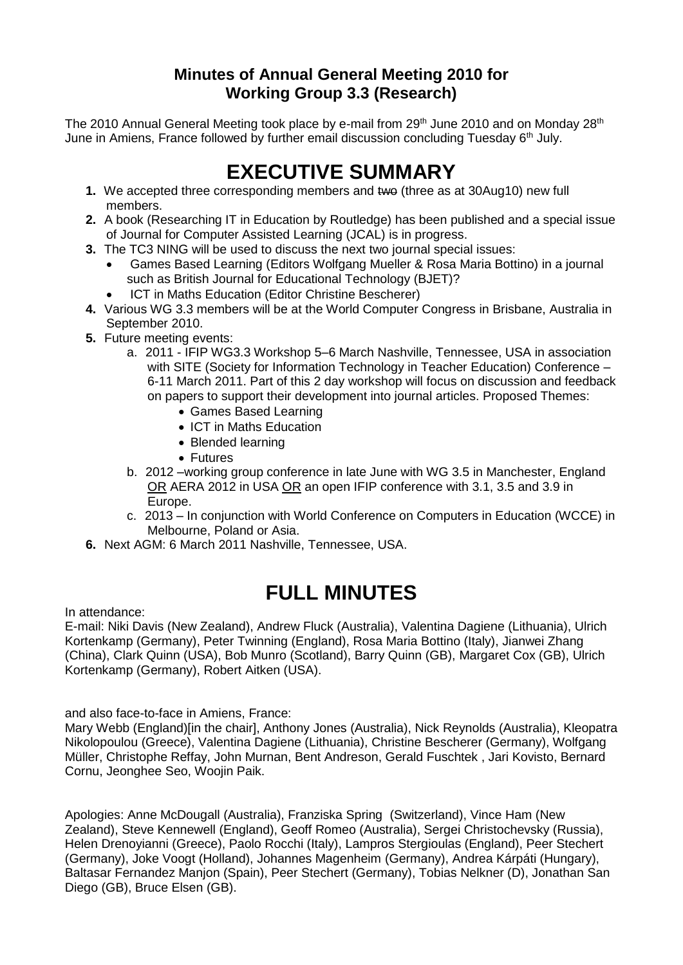# **Minutes of Annual General Meeting 2010 for Working Group 3.3 (Research)**

The 2010 Annual General Meeting took place by e-mail from 29<sup>th</sup> June 2010 and on Monday 28<sup>th</sup> June in Amiens, France followed by further email discussion concluding Tuesday 6<sup>th</sup> July.

# **EXECUTIVE SUMMARY**

- **1.** We accepted three corresponding members and two (three as at 30Aug10) new full members.
- **2.** A book (Researching IT in Education by Routledge) has been published and a special issue of Journal for Computer Assisted Learning (JCAL) is in progress.
- **3.** The TC3 NING will be used to discuss the next two journal special issues:
	- Games Based Learning (Editors Wolfgang Mueller & Rosa Maria Bottino) in a journal such as British Journal for Educational Technology (BJET)?
	- ICT in Maths Education (Editor Christine Bescherer)
- **4.** Various WG 3.3 members will be at the World Computer Congress in Brisbane, Australia in September 2010.
- **5.** Future meeting events:
	- a. 2011 IFIP WG3.3 Workshop 5–6 March Nashville, Tennessee, USA in association with SITE (Society for Information Technology in Teacher Education) Conference – 6-11 March 2011. Part of this 2 day workshop will focus on discussion and feedback on papers to support their development into journal articles. Proposed Themes:
		- Games Based Learning
		- ICT in Maths Education
		- Blended learning
		- Futures
	- b. 2012 –working group conference in late June with WG 3.5 in Manchester, England OR AERA 2012 in USA OR an open IFIP conference with 3.1, 3.5 and 3.9 in Europe.
	- c. 2013 In conjunction with World Conference on Computers in Education (WCCE) in Melbourne, Poland or Asia.
- **6.** Next AGM: 6 March 2011 Nashville, Tennessee, USA.

# **FULL MINUTES**

In attendance:

E-mail: Niki Davis (New Zealand), Andrew Fluck (Australia), Valentina Dagiene (Lithuania), Ulrich Kortenkamp (Germany), Peter Twinning (England), Rosa Maria Bottino (Italy), Jianwei Zhang (China), Clark Quinn (USA), Bob Munro (Scotland), Barry Quinn (GB), Margaret Cox (GB), Ulrich Kortenkamp (Germany), Robert Aitken (USA).

and also face-to-face in Amiens, France:

Mary Webb (England)[in the chair], Anthony Jones (Australia), Nick Reynolds (Australia), Kleopatra Nikolopoulou (Greece), Valentina Dagiene (Lithuania), Christine Bescherer (Germany), Wolfgang Müller, Christophe Reffay, John Murnan, Bent Andreson, Gerald Fuschtek , Jari Kovisto, Bernard Cornu, Jeonghee Seo, Woojin Paik.

Apologies: Anne McDougall (Australia), Franziska Spring (Switzerland), Vince Ham (New Zealand), Steve Kennewell (England), Geoff Romeo (Australia), Sergei Christochevsky (Russia), Helen Drenoyianni (Greece), Paolo Rocchi (Italy), Lampros Stergioulas (England), Peer Stechert (Germany), Joke Voogt (Holland), Johannes Magenheim (Germany), Andrea Kárpáti (Hungary), Baltasar Fernandez Manjon (Spain), Peer Stechert (Germany), Tobias Nelkner (D), Jonathan San Diego (GB), Bruce Elsen (GB).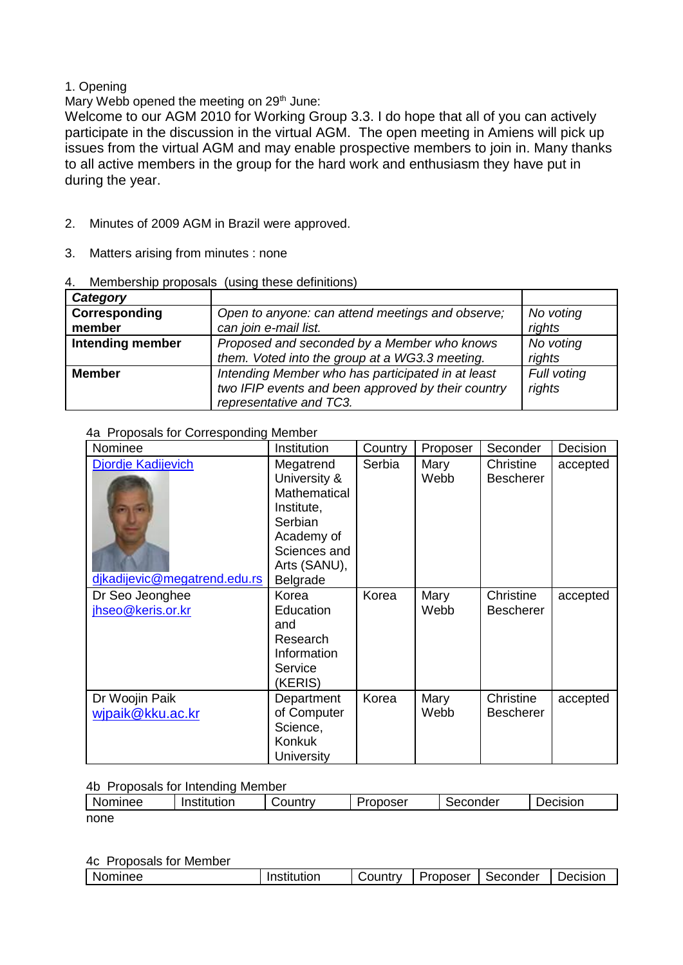## 1. Opening

Mary Webb opened the meeting on 29<sup>th</sup> June:

Welcome to our AGM 2010 for Working Group 3.3. I do hope that all of you can actively participate in the discussion in the virtual AGM. The open meeting in Amiens will pick up issues from the virtual AGM and may enable prospective members to join in. Many thanks to all active members in the group for the hard work and enthusiasm they have put in during the year.

- 2. Minutes of 2009 AGM in Brazil were approved.
- 3. Matters arising from minutes : none

| Category                |                                                                                                                                    |                       |
|-------------------------|------------------------------------------------------------------------------------------------------------------------------------|-----------------------|
| Corresponding<br>member | Open to anyone: can attend meetings and observe;<br>can join e-mail list.                                                          | No voting<br>rights   |
| <b>Intending member</b> | Proposed and seconded by a Member who knows<br>them. Voted into the group at a WG3.3 meeting.                                      | No voting<br>rights   |
| <b>Member</b>           | Intending Member who has participated in at least<br>two IFIP events and been approved by their country<br>representative and TC3. | Full voting<br>rights |

4. Membership proposals (using these definitions)

### 4a Proposals for Corresponding Member

| Nominee                                                   | <b>Institution</b>                                                                                                           | Country | Proposer     | Seconder                      | Decision |
|-----------------------------------------------------------|------------------------------------------------------------------------------------------------------------------------------|---------|--------------|-------------------------------|----------|
| <b>Djordje Kadijevich</b><br>dikadijevic@megatrend.edu.rs | Megatrend<br>University &<br>Mathematical<br>Institute,<br>Serbian<br>Academy of<br>Sciences and<br>Arts (SANU),<br>Belgrade | Serbia  | Mary<br>Webb | Christine<br><b>Bescherer</b> | accepted |
| Dr Seo Jeonghee<br>jhseo@keris.or.kr                      | Korea<br>Education<br>and<br>Research<br>Information<br>Service<br>(KERIS)                                                   | Korea   | Mary<br>Webb | Christine<br><b>Bescherer</b> | accepted |
| Dr Woojin Paik<br>wjpaik@kku.ac.kr                        | Department<br>of Computer<br>Science,<br><b>Konkuk</b><br>University                                                         | Korea   | Mary<br>Webb | Christine<br><b>Bescherer</b> | accepted |

# 4b Proposals for Intending Member

| Nominee | .<br>Institution | ∴ountry<br>altrv. | Proposer ? | conder<br>5et | <b>Jecision</b> |
|---------|------------------|-------------------|------------|---------------|-----------------|
| none    |                  |                   |            |               |                 |

4c Proposals for Member

| Nominee | າstitution<br> | ا∨ountr∨ | Proposer | Seconder | Jecision |
|---------|----------------|----------|----------|----------|----------|
|         |                |          |          |          |          |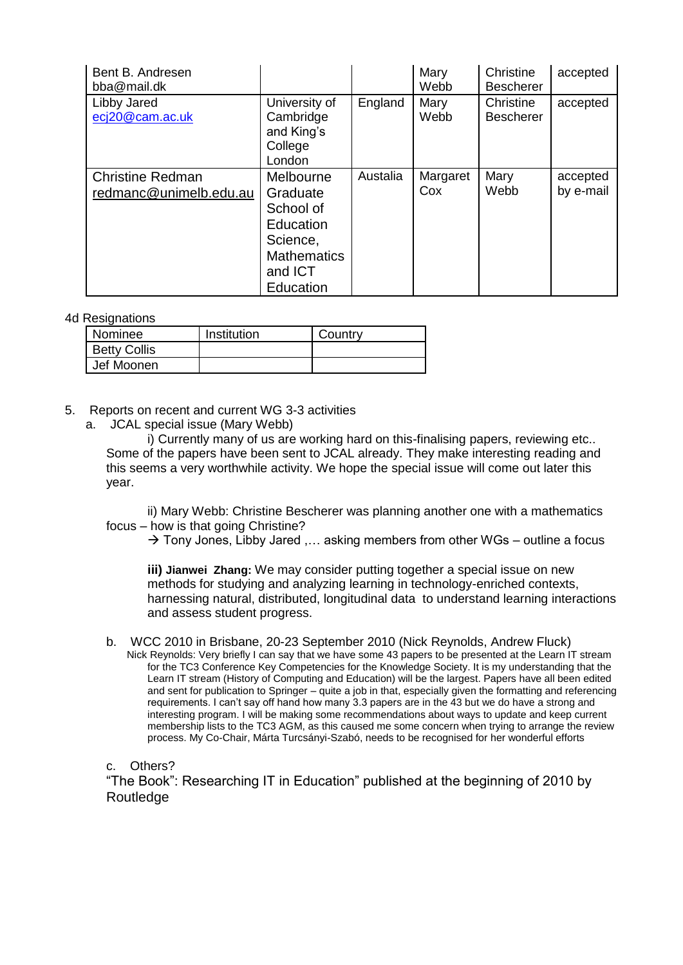| Bent B. Andresen<br>bba@mail.dk                   |                                                                                                           |          | Mary<br>Webb    | Christine<br><b>Bescherer</b> | accepted              |
|---------------------------------------------------|-----------------------------------------------------------------------------------------------------------|----------|-----------------|-------------------------------|-----------------------|
| Libby Jared<br>ecj20@cam.ac.uk                    | University of<br>Cambridge<br>and King's<br>College<br>London                                             | England  | Mary<br>Webb    | Christine<br><b>Bescherer</b> | accepted              |
| <b>Christine Redman</b><br>redmanc@unimelb.edu.au | Melbourne<br>Graduate<br>School of<br>Education<br>Science,<br><b>Mathematics</b><br>and ICT<br>Education | Austalia | Margaret<br>Cox | Mary<br>Webb                  | accepted<br>by e-mail |

#### 4d Resignations

| Nominee             | Institution | Country |
|---------------------|-------------|---------|
| <b>Betty Collis</b> |             |         |
| Jef Moonen          |             |         |

#### 5. Reports on recent and current WG 3-3 activities

a. JCAL special issue (Mary Webb)

i) Currently many of us are working hard on this-finalising papers, reviewing etc.. Some of the papers have been sent to JCAL already. They make interesting reading and this seems a very worthwhile activity. We hope the special issue will come out later this year.

ii) Mary Webb: Christine Bescherer was planning another one with a mathematics focus – how is that going Christine?

 $\rightarrow$  Tony Jones, Libby Jared .... asking members from other WGs – outline a focus

**iii) Jianwei Zhang:** We may consider putting together a special issue on new methods for studying and analyzing learning in technology-enriched contexts, harnessing natural, distributed, longitudinal data to understand learning interactions and assess student progress.

b. WCC 2010 in Brisbane, 20-23 September 2010 (Nick Reynolds, Andrew Fluck) Nick Reynolds: Very briefly I can say that we have some 43 papers to be presented at the Learn IT stream for the TC3 Conference Key Competencies for the Knowledge Society. It is my understanding that the Learn IT stream (History of Computing and Education) will be the largest. Papers have all been edited and sent for publication to Springer – quite a job in that, especially given the formatting and referencing requirements. I can't say off hand how many 3.3 papers are in the 43 but we do have a strong and interesting program. I will be making some recommendations about ways to update and keep current membership lists to the TC3 AGM, as this caused me some concern when trying to arrange the review process. My Co-Chair, Márta Turcsányi-Szabó, needs to be recognised for her wonderful efforts

c. Others?

"The Book": Researching IT in Education" published at the beginning of 2010 by Routledge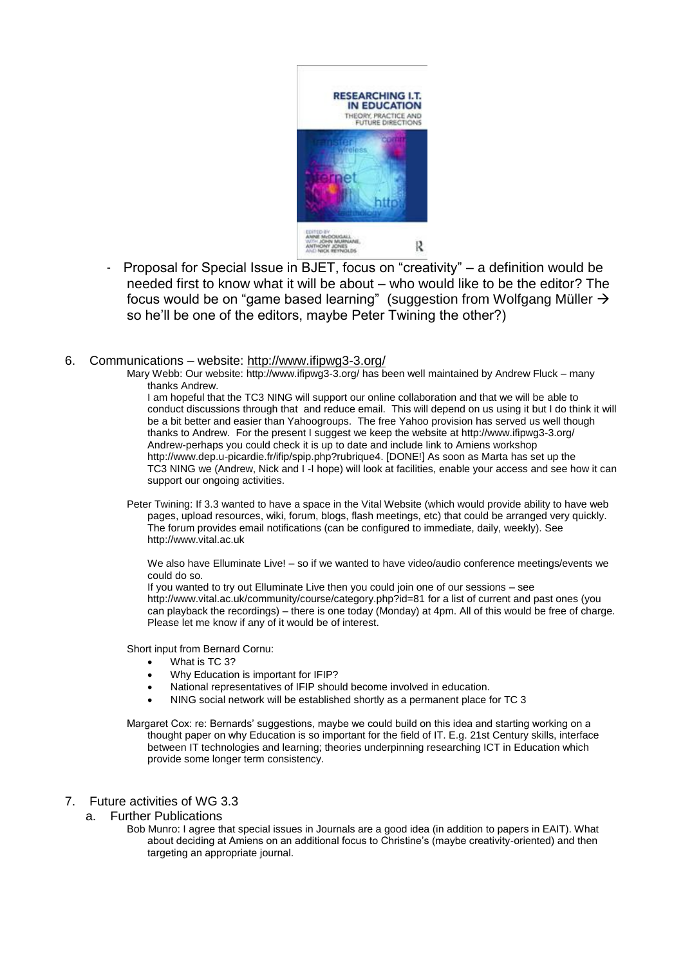

Proposal for Special Issue in BJET, focus on "creativity" – a definition would be needed first to know what it will be about – who would like to be the editor? The focus would be on "game based learning" (suggestion from Wolfgang Müller → so he'll be one of the editors, maybe Peter Twining the other?)

#### 6. Communications – website:<http://www.ifipwg3-3.org/>

Mary Webb: Our website[: http://www.ifipwg3-3.org/](http://www.ifipwg3-3.org/) has been well maintained by Andrew Fluck – many thanks Andrew.

I am hopeful that the TC3 NING will support our online collaboration and that we will be able to conduct discussions through that and reduce email. This will depend on us using it but I do think it will be a bit better and easier than Yahoogroups. The free Yahoo provision has served us well though thanks to Andrew. For the present I suggest we keep the website at<http://www.ifipwg3-3.org/> Andrew-perhaps you could check it is up to date and include link to Amiens workshop [http://www.dep.u-picardie.fr/ifip/spip.php?rubrique4.](http://www.dep.u-picardie.fr/ifip/spip.php?rubrique4) [DONE!] As soon as Marta has set up the TC3 NING we (Andrew, Nick and I -I hope) will look at facilities, enable your access and see how it can support our ongoing activities.

Peter Twining: If 3.3 wanted to have a space in the Vital Website (which would provide ability to have web pages, upload resources, wiki, forum, blogs, flash meetings, etc) that could be arranged very quickly. The forum provides email notifications (can be configured to immediate, daily, weekly). See [http://www.vital.ac.uk](http://www.vital.ac.uk/)

We also have Elluminate Live! – so if we wanted to have video/audio conference meetings/events we could do so.

If you wanted to try out Elluminate Live then you could join one of our sessions – see <http://www.vital.ac.uk/community/course/category.php?id=81> for a list of current and past ones (you can playback the recordings) – there is one today (Monday) at 4pm. All of this would be free of charge. Please let me know if any of it would be of interest.

Short input from Bernard Cornu:

- What is TC 3?
- Why Education is important for IFIP?
- National representatives of IFIP should become involved in education.
- NING social network will be established shortly as a permanent place for TC 3

Margaret Cox: re: Bernards' suggestions, maybe we could build on this idea and starting working on a thought paper on why Education is so important for the field of IT. E.g. 21st Century skills, interface between IT technologies and learning; theories underpinning researching ICT in Education which provide some longer term consistency.

- 7. Future activities of WG 3.3
	- a. Further Publications
		- Bob Munro: I agree that special issues in Journals are a good idea (in addition to papers in EAIT). What about deciding at Amiens on an additional focus to Christine's (maybe creativity-oriented) and then targeting an appropriate journal.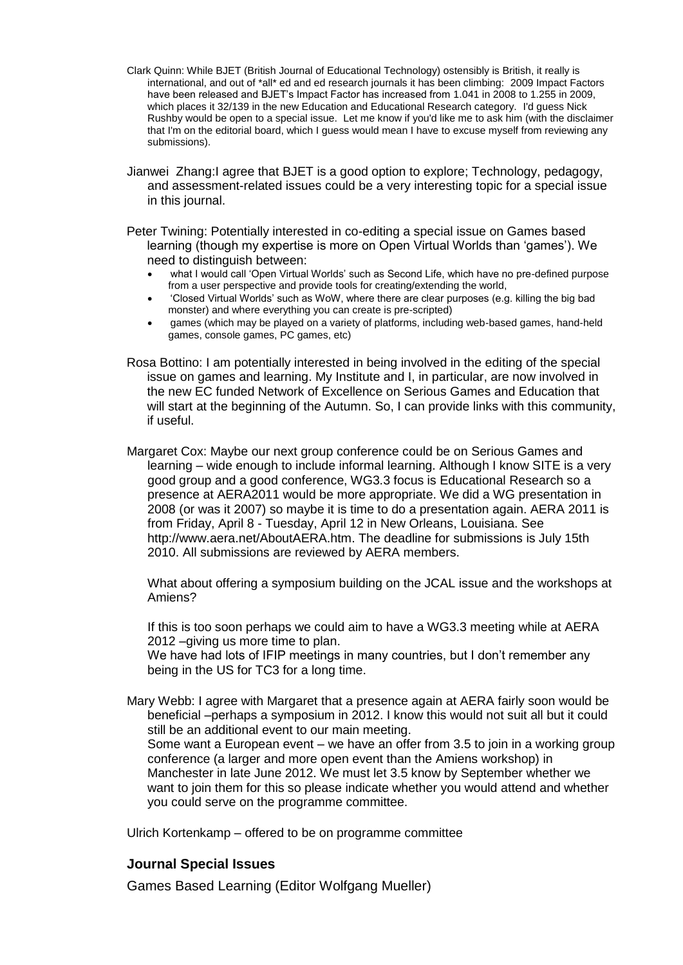- Clark Quinn: While BJET (British Journal of Educational Technology) ostensibly is British, it really is international, and out of \*all\* ed and ed research journals it has been climbing: 2009 Impact Factors have been released and BJET's Impact Factor has increased from 1.041 in 2008 to 1.255 in 2009, which places it 32/139 in the new Education and Educational Research category. I'd guess Nick Rushby would be open to a special issue. Let me know if you'd like me to ask him (with the disclaimer that I'm on the editorial board, which I guess would mean I have to excuse myself from reviewing any submissions).
- Jianwei Zhang:I agree that BJET is a good option to explore; Technology, pedagogy, and assessment-related issues could be a very interesting topic for a special issue in this journal.
- Peter Twining: Potentially interested in co-editing a special issue on Games based learning (though my expertise is more on Open Virtual Worlds than 'games'). We need to distinguish between:
	- what I would call 'Open Virtual Worlds' such as Second Life, which have no pre-defined purpose from a user perspective and provide tools for creating/extending the world,
	- 'Closed Virtual Worlds' such as WoW, where there are clear purposes (e.g. killing the big bad monster) and where everything you can create is pre-scripted)
	- games (which may be played on a variety of platforms, including web-based games, hand-held games, console games, PC games, etc)
- Rosa Bottino: I am potentially interested in being involved in the editing of the special issue on games and learning. My Institute and I, in particular, are now involved in the new EC funded Network of Excellence on Serious Games and Education that will start at the beginning of the Autumn. So, I can provide links with this community, if useful.
- Margaret Cox: Maybe our next group conference could be on Serious Games and learning – wide enough to include informal learning. Although I know SITE is a very good group and a good conference, WG3.3 focus is Educational Research so a presence at AERA2011 would be more appropriate. We did a WG presentation in 2008 (or was it 2007) so maybe it is time to do a presentation again. AERA 2011 is from Friday, April 8 - Tuesday, April 12 in New Orleans, Louisiana. See [http://www.aera.net/AboutAERA.htm.](http://www.aera.net/AboutAERA.htm) The deadline for submissions is July 15th 2010. All submissions are reviewed by AERA members.

What about offering a symposium building on the JCAL issue and the workshops at Amiens?

If this is too soon perhaps we could aim to have a WG3.3 meeting while at AERA 2012 – aiving us more time to plan.

We have had lots of IFIP meetings in many countries, but I don't remember any being in the US for TC3 for a long time.

Mary Webb: I agree with Margaret that a presence again at AERA fairly soon would be beneficial –perhaps a symposium in 2012. I know this would not suit all but it could still be an additional event to our main meeting. Some want a European event – we have an offer from 3.5 to join in a working group conference (a larger and more open event than the Amiens workshop) in

Manchester in late June 2012. We must let 3.5 know by September whether we want to join them for this so please indicate whether you would attend and whether you could serve on the programme committee.

Ulrich Kortenkamp – offered to be on programme committee

### **Journal Special Issues**

Games Based Learning (Editor Wolfgang Mueller)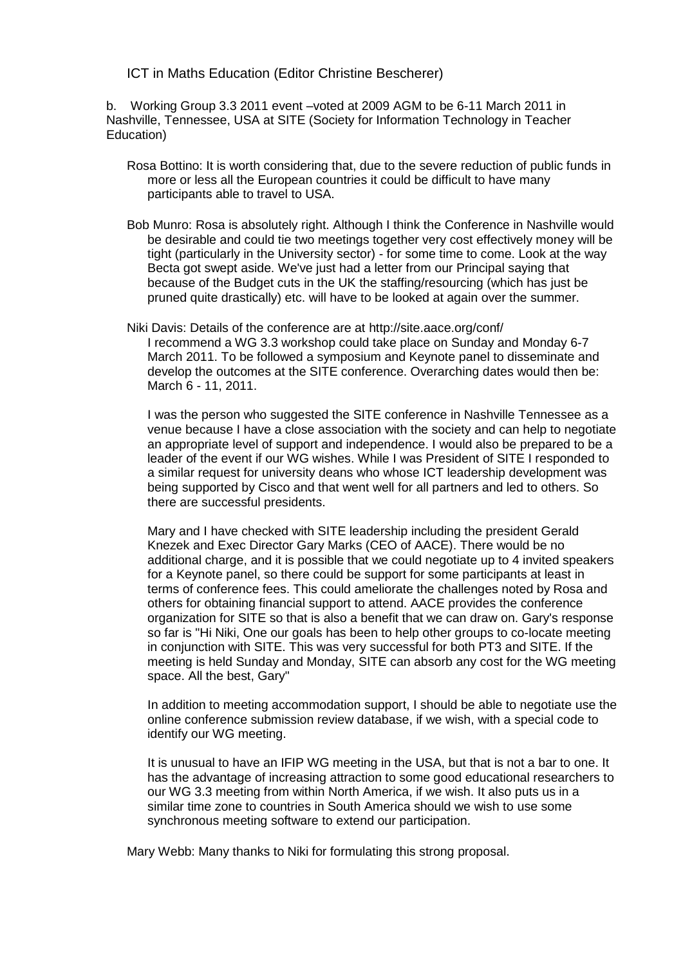ICT in Maths Education (Editor Christine Bescherer)

b. Working Group 3.3 2011 event –voted at 2009 AGM to be 6-11 March 2011 in Nashville, Tennessee, USA at SITE (Society for Information Technology in Teacher Education)

- Rosa Bottino: It is worth considering that, due to the severe reduction of public funds in more or less all the European countries it could be difficult to have many participants able to travel to USA.
- Bob Munro: Rosa is absolutely right. Although I think the Conference in Nashville would be desirable and could tie two meetings together very cost effectively money will be tight (particularly in the University sector) - for some time to come. Look at the way Becta got swept aside. We've just had a letter from our Principal saying that because of the Budget cuts in the UK the staffing/resourcing (which has just be pruned quite drastically) etc. will have to be looked at again over the summer.
- Niki Davis: Details of the conference are at<http://site.aace.org/conf/> I recommend a WG 3.3 workshop could take place on Sunday and Monday 6-7 March 2011. To be followed a symposium and Keynote panel to disseminate and develop the outcomes at the SITE conference. Overarching dates would then be: March 6 - 11, 2011.

I was the person who suggested the SITE conference in Nashville Tennessee as a venue because I have a close association with the society and can help to negotiate an appropriate level of support and independence. I would also be prepared to be a leader of the event if our WG wishes. While I was President of SITE I responded to a similar request for university deans who whose ICT leadership development was being supported by Cisco and that went well for all partners and led to others. So there are successful presidents.

Mary and I have checked with SITE leadership including the president Gerald Knezek and Exec Director Gary Marks (CEO of AACE). There would be no additional charge, and it is possible that we could negotiate up to 4 invited speakers for a Keynote panel, so there could be support for some participants at least in terms of conference fees. This could ameliorate the challenges noted by Rosa and others for obtaining financial support to attend. AACE provides the conference organization for SITE so that is also a benefit that we can draw on. Gary's response so far is "Hi Niki, One our goals has been to help other groups to co-locate meeting in conjunction with SITE. This was very successful for both PT3 and SITE. If the meeting is held Sunday and Monday, SITE can absorb any cost for the WG meeting space. All the best, Gary"

In addition to meeting accommodation support, I should be able to negotiate use the online conference submission review database, if we wish, with a special code to identify our WG meeting.

It is unusual to have an IFIP WG meeting in the USA, but that is not a bar to one. It has the advantage of increasing attraction to some good educational researchers to our WG 3.3 meeting from within North America, if we wish. It also puts us in a similar time zone to countries in South America should we wish to use some synchronous meeting software to extend our participation.

Mary Webb: Many thanks to Niki for formulating this strong proposal.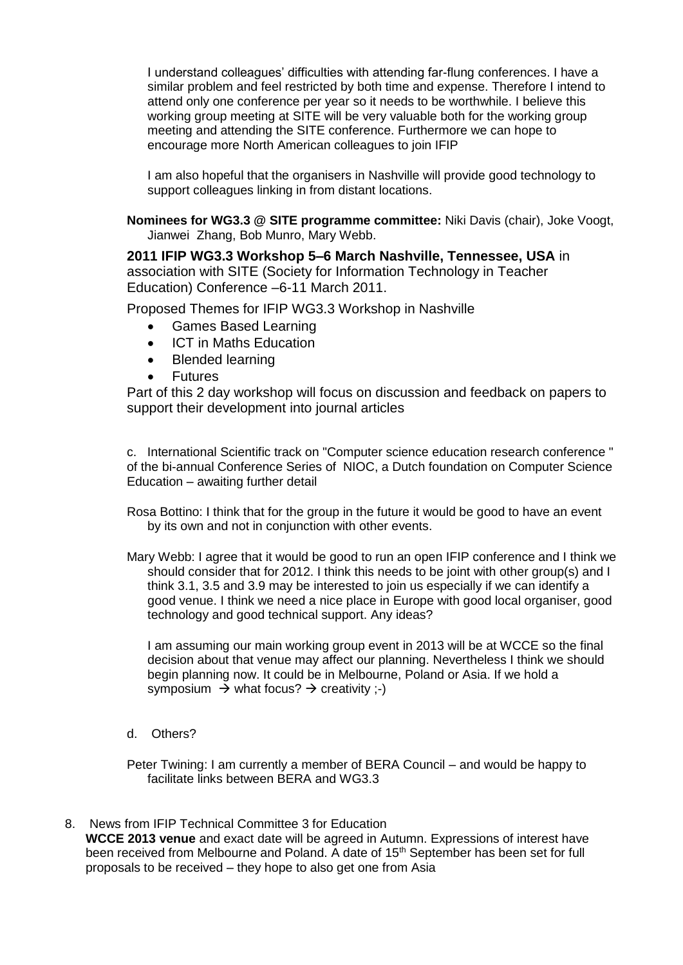I understand colleagues' difficulties with attending far-flung conferences. I have a similar problem and feel restricted by both time and expense. Therefore I intend to attend only one conference per year so it needs to be worthwhile. I believe this working group meeting at SITE will be very valuable both for the working group meeting and attending the SITE conference. Furthermore we can hope to encourage more North American colleagues to join IFIP

I am also hopeful that the organisers in Nashville will provide good technology to support colleagues linking in from distant locations.

**Nominees for WG3.3 @ SITE programme committee:** Niki Davis (chair), Joke Voogt, Jianwei Zhang, Bob Munro, Mary Webb.

**2011 IFIP WG3.3 Workshop 5–6 March Nashville, Tennessee, USA** in association with SITE (Society for Information Technology in Teacher Education) Conference –6-11 March 2011.

Proposed Themes for IFIP WG3.3 Workshop in Nashville

- Games Based Learning
- ICT in Maths Education
- Blended learning
- Futures

Part of this 2 day workshop will focus on discussion and feedback on papers to support their development into journal articles

c. International Scientific track on "Computer science education research conference " of the bi-annual Conference Series of NIOC, a Dutch foundation on Computer Science Education – awaiting further detail

Rosa Bottino: I think that for the group in the future it would be good to have an event by its own and not in conjunction with other events.

Mary Webb: I agree that it would be good to run an open IFIP conference and I think we should consider that for 2012. I think this needs to be joint with other group(s) and I think 3.1, 3.5 and 3.9 may be interested to join us especially if we can identify a good venue. I think we need a nice place in Europe with good local organiser, good technology and good technical support. Any ideas?

I am assuming our main working group event in 2013 will be at WCCE so the final decision about that venue may affect our planning. Nevertheless I think we should begin planning now. It could be in Melbourne, Poland or Asia. If we hold a symposium  $\rightarrow$  what focus?  $\rightarrow$  creativity ;-)

d. Others?

Peter Twining: I am currently a member of BERA Council – and would be happy to facilitate links between BERA and WG3.3

8. News from IFIP Technical Committee 3 for Education

**WCCE 2013 venue** and exact date will be agreed in Autumn. Expressions of interest have been received from Melbourne and Poland. A date of 15<sup>th</sup> September has been set for full proposals to be received – they hope to also get one from Asia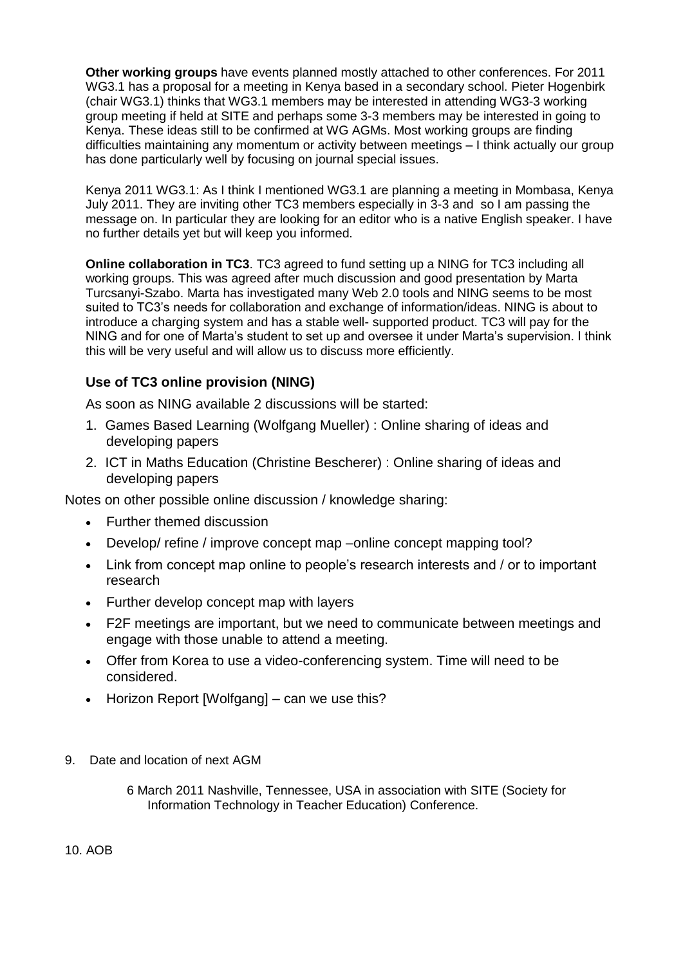**Other working groups** have events planned mostly attached to other conferences. For 2011 WG3.1 has a proposal for a meeting in Kenya based in a secondary school. Pieter Hogenbirk (chair WG3.1) thinks that WG3.1 members may be interested in attending WG3-3 working group meeting if held at SITE and perhaps some 3-3 members may be interested in going to Kenya. These ideas still to be confirmed at WG AGMs. Most working groups are finding difficulties maintaining any momentum or activity between meetings – I think actually our group has done particularly well by focusing on journal special issues.

Kenya 2011 WG3.1: As I think I mentioned WG3.1 are planning a meeting in Mombasa, Kenya July 2011. They are inviting other TC3 members especially in 3-3 and so I am passing the message on. In particular they are looking for an editor who is a native English speaker. I have no further details yet but will keep you informed.

**Online collaboration in TC3**. TC3 agreed to fund setting up a NING for TC3 including all working groups. This was agreed after much discussion and good presentation by Marta Turcsanyi-Szabo. Marta has investigated many Web 2.0 tools and NING seems to be most suited to TC3's needs for collaboration and exchange of information/ideas. NING is about to introduce a charging system and has a stable well- supported product. TC3 will pay for the NING and for one of Marta's student to set up and oversee it under Marta's supervision. I think this will be very useful and will allow us to discuss more efficiently.

# **Use of TC3 online provision (NING)**

As soon as NING available 2 discussions will be started:

- 1. Games Based Learning (Wolfgang Mueller) : Online sharing of ideas and developing papers
- 2. ICT in Maths Education (Christine Bescherer) : Online sharing of ideas and developing papers

Notes on other possible online discussion / knowledge sharing:

- Further themed discussion
- Develop/ refine / improve concept map –online concept mapping tool?
- Link from concept map online to people's research interests and / or to important research
- Further develop concept map with layers
- F2F meetings are important, but we need to communicate between meetings and engage with those unable to attend a meeting.
- Offer from Korea to use a video-conferencing system. Time will need to be considered.
- Horizon Report [Wolfgang] can we use this?
- 9. Date and location of next AGM

6 March 2011 Nashville, Tennessee, USA in association with SITE (Society for Information Technology in Teacher Education) Conference.

10. AOB